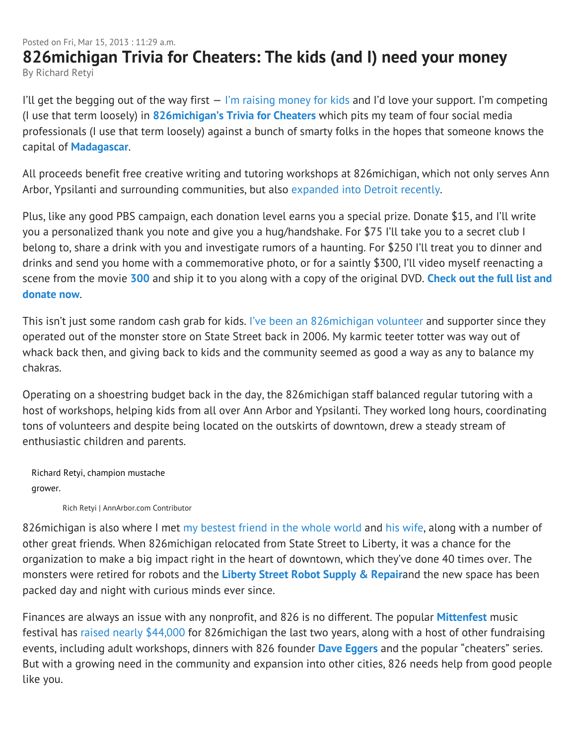## Posted on Fri, Mar 15, 2013 : 11:29 a.m. **826michigan Trivia for Cheaters: The kids (and I) need your money** By Richard Retyi

I'll get the begging out of the way first  $-$  I'm raising money for kids and I'd love your support. I'm competing (I use that term loosely) in **826michigan's Trivia for Cheaters** which pits my team of four social media professionals (I use that term loosely) against a bunch of smarty folks in the hopes that someone knows the capital of **Madagascar**.

All proceeds benefit free creative writing and tutoring workshops at 826michigan, which not only serves Ann Arbor, Ypsilanti and surrounding communities, but also expanded into Detroit recently.

Plus, like any good PBS campaign, each donation level earns you a special prize. Donate \$15, and I'll write you a personalized thank you note and give you a hug/handshake. For \$75 I'll take you to a secret club I belong to, share a drink with you and investigate rumors of a haunting. For \$250 I'll treat you to dinner and drinks and send you home with a commemorative photo, or for a saintly \$300, I'll video myself reenacting a scene from the movie **300** and ship it to you along with a copy of the original DVD. **Check out the full list and donate now**.

This isn't just some random cash grab for kids. I've been an 826michigan volunteer and supporter since they operated out of the monster store on State Street back in 2006. My karmic teeter totter was way out of whack back then, and giving back to kids and the community seemed as good a way as any to balance my chakras.

Operating on a shoestring budget back in the day, the 826michigan staff balanced regular tutoring with a host of workshops, helping kids from all over Ann Arbor and Ypsilanti. They worked long hours, coordinating tons of volunteers and despite being located on the outskirts of downtown, drew a steady stream of enthusiastic children and parents.

Richard Retyi, champion mustache grower.

Rich Retyi | AnnArbor.com Contributor

826 michigan is also where I met my bestest friend in the whole world and his wife, along with a number of other great friends. When 826michigan relocated from State Street to Liberty, it was a chance for the organization to make a big impact right in the heart of downtown, which they've done 40 times over. The monsters were retired for robots and the **Liberty Street Robot Supply & Repair**and the new space has been packed day and night with curious minds ever since.

Finances are always an issue with any nonprofit, and 826 is no different. The popular **Mittenfest** music festival has raised nearly \$44,000 for 826michigan the last two years, along with a host of other fundraising events, including adult workshops, dinners with 826 founder **Dave Eggers** and the popular "cheaters" series. But with a growing need in the community and expansion into other cities, 826 needs help from good people like you.